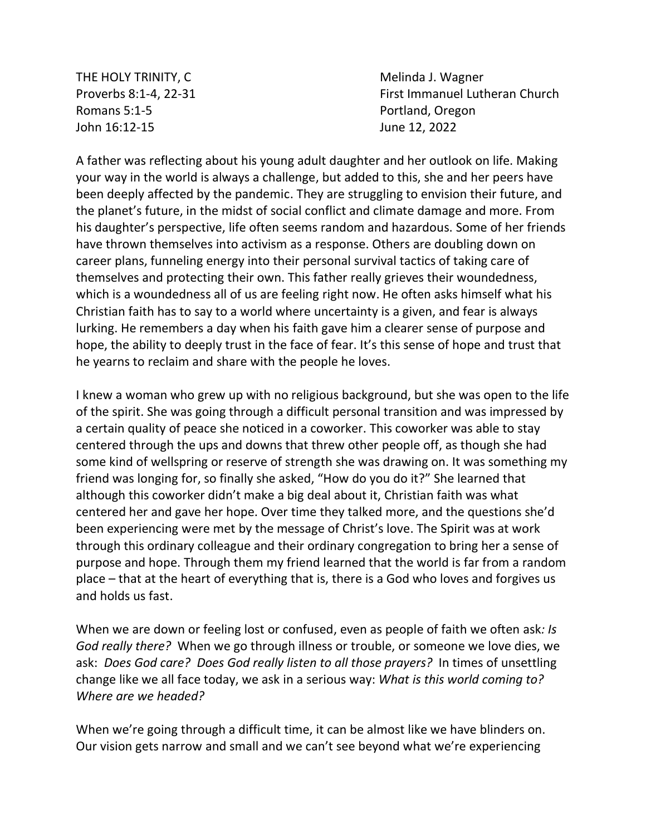THE HOLY TRINITY, C **Melinda J. Wagner** Melinda J. Wagner Romans 5:1-5 **Portland, Oregon** John 16:12-15 June 12, 2022

Proverbs 8:1-4, 22-31 First Immanuel Lutheran Church

A father was reflecting about his young adult daughter and her outlook on life. Making your way in the world is always a challenge, but added to this, she and her peers have been deeply affected by the pandemic. They are struggling to envision their future, and the planet's future, in the midst of social conflict and climate damage and more. From his daughter's perspective, life often seems random and hazardous. Some of her friends have thrown themselves into activism as a response. Others are doubling down on career plans, funneling energy into their personal survival tactics of taking care of themselves and protecting their own. This father really grieves their woundedness, which is a woundedness all of us are feeling right now. He often asks himself what his Christian faith has to say to a world where uncertainty is a given, and fear is always lurking. He remembers a day when his faith gave him a clearer sense of purpose and hope, the ability to deeply trust in the face of fear. It's this sense of hope and trust that he yearns to reclaim and share with the people he loves.

I knew a woman who grew up with no religious background, but she was open to the life of the spirit. She was going through a difficult personal transition and was impressed by a certain quality of peace she noticed in a coworker. This coworker was able to stay centered through the ups and downs that threw other people off, as though she had some kind of wellspring or reserve of strength she was drawing on. It was something my friend was longing for, so finally she asked, "How do you do it?" She learned that although this coworker didn't make a big deal about it, Christian faith was what centered her and gave her hope. Over time they talked more, and the questions she'd been experiencing were met by the message of Christ's love. The Spirit was at work through this ordinary colleague and their ordinary congregation to bring her a sense of purpose and hope. Through them my friend learned that the world is far from a random place – that at the heart of everything that is, there is a God who loves and forgives us and holds us fast.

When we are down or feeling lost or confused, even as people of faith we often ask*: Is God really there?* When we go through illness or trouble, or someone we love dies, we ask: *Does God care? Does God really listen to all those prayers?* In times of unsettling change like we all face today, we ask in a serious way: *What is this world coming to? Where are we headed?*

When we're going through a difficult time, it can be almost like we have blinders on. Our vision gets narrow and small and we can't see beyond what we're experiencing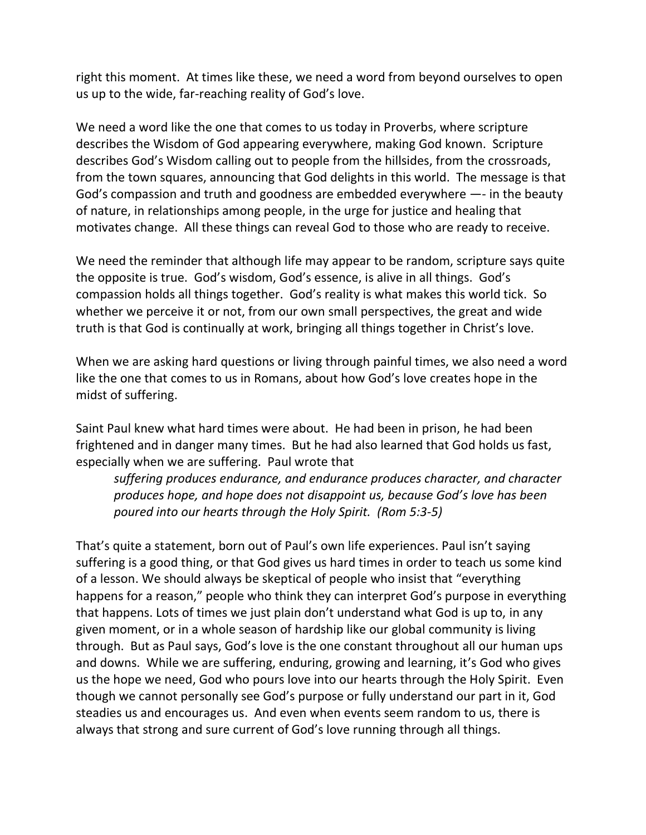right this moment. At times like these, we need a word from beyond ourselves to open us up to the wide, far-reaching reality of God's love.

We need a word like the one that comes to us today in Proverbs, where scripture describes the Wisdom of God appearing everywhere, making God known. Scripture describes God's Wisdom calling out to people from the hillsides, from the crossroads, from the town squares, announcing that God delights in this world. The message is that God's compassion and truth and goodness are embedded everywhere —- in the beauty of nature, in relationships among people, in the urge for justice and healing that motivates change. All these things can reveal God to those who are ready to receive.

We need the reminder that although life may appear to be random, scripture says quite the opposite is true. God's wisdom, God's essence, is alive in all things. God's compassion holds all things together. God's reality is what makes this world tick. So whether we perceive it or not, from our own small perspectives, the great and wide truth is that God is continually at work, bringing all things together in Christ's love.

When we are asking hard questions or living through painful times, we also need a word like the one that comes to us in Romans, about how God's love creates hope in the midst of suffering.

Saint Paul knew what hard times were about. He had been in prison, he had been frightened and in danger many times. But he had also learned that God holds us fast, especially when we are suffering. Paul wrote that

*suffering produces endurance, and endurance produces character, and character produces hope, and hope does not disappoint us, because God's love has been poured into our hearts through the Holy Spirit. (Rom 5:3-5)*

That's quite a statement, born out of Paul's own life experiences. Paul isn't saying suffering is a good thing, or that God gives us hard times in order to teach us some kind of a lesson. We should always be skeptical of people who insist that "everything happens for a reason," people who think they can interpret God's purpose in everything that happens. Lots of times we just plain don't understand what God is up to, in any given moment, or in a whole season of hardship like our global community is living through. But as Paul says, God's love is the one constant throughout all our human ups and downs. While we are suffering, enduring, growing and learning, it's God who gives us the hope we need, God who pours love into our hearts through the Holy Spirit. Even though we cannot personally see God's purpose or fully understand our part in it, God steadies us and encourages us. And even when events seem random to us, there is always that strong and sure current of God's love running through all things.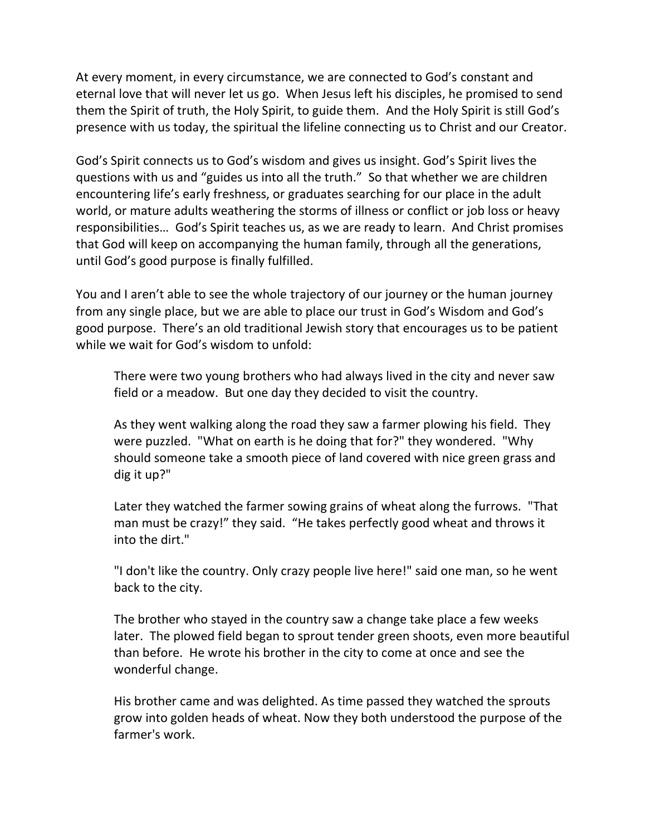At every moment, in every circumstance, we are connected to God's constant and eternal love that will never let us go. When Jesus left his disciples, he promised to send them the Spirit of truth, the Holy Spirit, to guide them. And the Holy Spirit is still God's presence with us today, the spiritual the lifeline connecting us to Christ and our Creator.

God's Spirit connects us to God's wisdom and gives us insight. God's Spirit lives the questions with us and "guides us into all the truth." So that whether we are children encountering life's early freshness, or graduates searching for our place in the adult world, or mature adults weathering the storms of illness or conflict or job loss or heavy responsibilities… God's Spirit teaches us, as we are ready to learn. And Christ promises that God will keep on accompanying the human family, through all the generations, until God's good purpose is finally fulfilled.

You and I aren't able to see the whole trajectory of our journey or the human journey from any single place, but we are able to place our trust in God's Wisdom and God's good purpose. There's an old traditional Jewish story that encourages us to be patient while we wait for God's wisdom to unfold:

There were two young brothers who had always lived in the city and never saw field or a meadow. But one day they decided to visit the country.

As they went walking along the road they saw a farmer plowing his field. They were puzzled. "What on earth is he doing that for?" they wondered. "Why should someone take a smooth piece of land covered with nice green grass and dig it up?"

Later they watched the farmer sowing grains of wheat along the furrows. "That man must be crazy!" they said. "He takes perfectly good wheat and throws it into the dirt."

"I don't like the country. Only crazy people live here!" said one man, so he went back to the city.

The brother who stayed in the country saw a change take place a few weeks later. The plowed field began to sprout tender green shoots, even more beautiful than before. He wrote his brother in the city to come at once and see the wonderful change.

His brother came and was delighted. As time passed they watched the sprouts grow into golden heads of wheat. Now they both understood the purpose of the farmer's work.